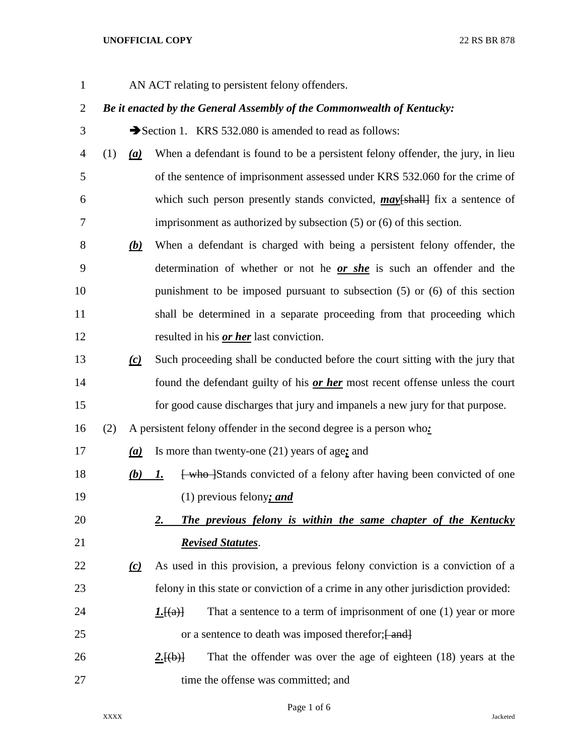## **UNOFFICIAL COPY** 22 RS BR 878

AN ACT relating to persistent felony offenders.

## *Be it enacted by the General Assembly of the Commonwealth of Kentucky:*

3 Section 1. KRS 532.080 is amended to read as follows:

- (1) *(a)* When a defendant is found to be a persistent felony offender, the jury, in lieu of the sentence of imprisonment assessed under KRS 532.060 for the crime of which such person presently stands convicted, *may*[shall] fix a sentence of imprisonment as authorized by subsection (5) or (6) of this section.
- *(b)* When a defendant is charged with being a persistent felony offender, the determination of whether or not he *or she* is such an offender and the punishment to be imposed pursuant to subsection (5) or (6) of this section shall be determined in a separate proceeding from that proceeding which resulted in his *or her* last conviction.
- *(c)* Such proceeding shall be conducted before the court sitting with the jury that found the defendant guilty of his *or her* most recent offense unless the court for good cause discharges that jury and impanels a new jury for that purpose.

(2) A persistent felony offender in the second degree is a person who*:*

*(a)* Is more than twenty-one (21) years of age*;* and

18 *(b) 1.* **E** <del>[who ]</del>Stands convicted of a felony after having been convicted of one (1) previous felony*; and*

 *2. The previous felony is within the same chapter of the Kentucky Revised Statutes*.

- *(c)* As used in this provision, a previous felony conviction is a conviction of a felony in this state or conviction of a crime in any other jurisdiction provided:
- 24 **1.**[ $\left(\frac{a}{b}\right)$  That a sentence to a term of imprisonment of one (1) year or more 25 or a sentence to death was imposed therefor;  $\frac{1}{2}$
- **2.** 2. **2. 2. 2.** That the offender was over the age of eighteen (18) years at the 27 time the offense was committed; and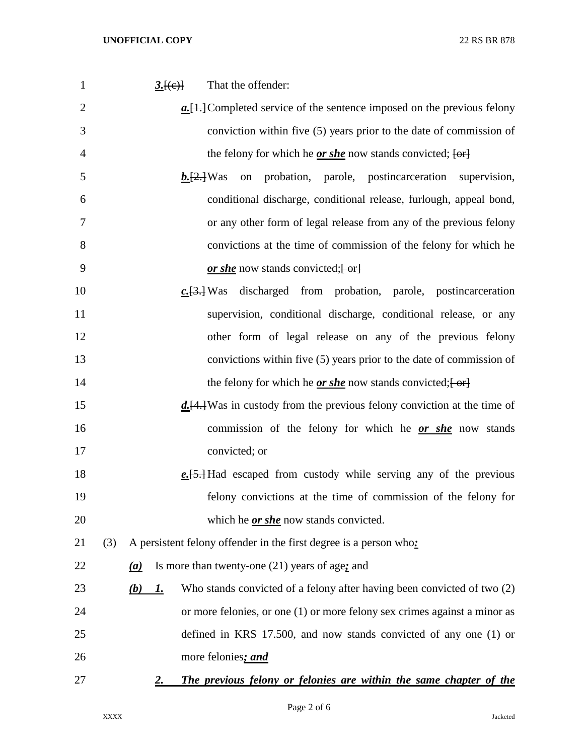| $\mathbf{1}$   | That the offender:<br>3.[(e)]                                                                      |
|----------------|----------------------------------------------------------------------------------------------------|
| $\overline{2}$ | $a$ . [1.] Completed service of the sentence imposed on the previous felony                        |
| 3              | conviction within five (5) years prior to the date of commission of                                |
| $\overline{4}$ | the felony for which he $or$ she now stands convicted; $[or]$                                      |
| 5              | on probation, parole, postincarceration supervision,<br>$b.$ [2.] Was                              |
| 6              | conditional discharge, conditional release, furlough, appeal bond,                                 |
| 7              | or any other form of legal release from any of the previous felony                                 |
| 8              | convictions at the time of commission of the felony for which he                                   |
| 9              | or she now stands convicted; $\left\{ \frac{\alpha}{2} \right\}$                                   |
| 10             | $c.\overline{[3,]}$ Was discharged from probation, parole, postincarceration                       |
| 11             | supervision, conditional discharge, conditional release, or any                                    |
| 12             | other form of legal release on any of the previous felony                                          |
| 13             | convictions within five (5) years prior to the date of commission of                               |
| 14             | the felony for which he <u>or she</u> now stands convicted; $\left\{ \text{or} \right\}$           |
| 15             | $d. [4.]$ Was in custody from the previous felony conviction at the time of                        |
| 16             | commission of the felony for which he <u>or she</u> now stands                                     |
| 17             | convicted; or                                                                                      |
| 18             | $e.\overline{5}$ . Had escaped from custody while serving any of the previous                      |
| 19             | felony convictions at the time of commission of the felony for                                     |
| 20             | which he <i>or she</i> now stands convicted.                                                       |
| 21             | A persistent felony offender in the first degree is a person who:<br>(3)                           |
| 22             | Is more than twenty-one $(21)$ years of age; and<br>(a)                                            |
| 23             | Who stands convicted of a felony after having been convicted of two (2)<br><u>(b)</u><br><u>I.</u> |
| 24             | or more felonies, or one (1) or more felony sex crimes against a minor as                          |
| 25             | defined in KRS 17.500, and now stands convicted of any one (1) or                                  |
| 26             | more felonies; and                                                                                 |
| 27             | The previous felony or felonies are within the same chapter of the<br><u>2.</u>                    |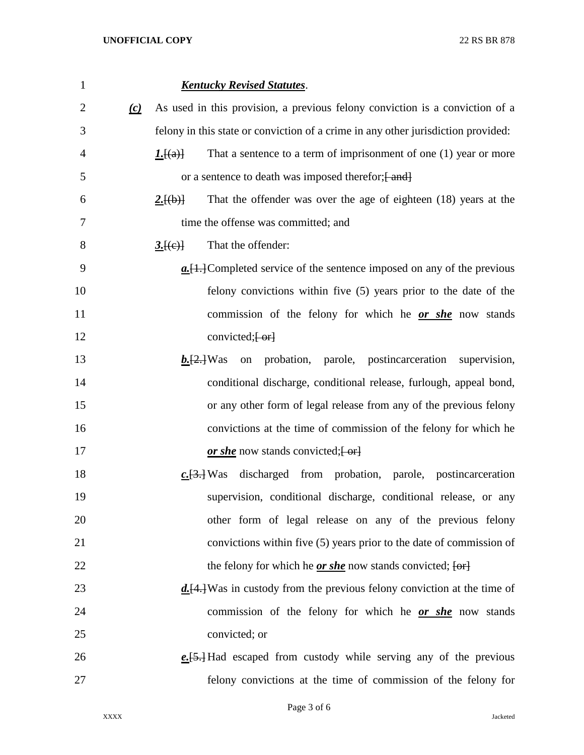*Kentucky Revised Statutes*. *(c)* As used in this provision, a previous felony conviction is a conviction of a felony in this state or conviction of a crime in any other jurisdiction provided: *1.*[(a)] That a sentence to a term of imprisonment of one (1) year or more 5 or a sentence to death was imposed therefor;  $\{$ and  $\}$  *2.*[(b)] That the offender was over the age of eighteen (18) years at the time the offense was committed; and **3.** [(e)] That the offender: *a.*[1.]Completed service of the sentence imposed on any of the previous felony convictions within five (5) years prior to the date of the commission of the felony for which he *or she* now stands 12 convicted; [-or] *b.*[2.]Was on probation, parole, postincarceration supervision, conditional discharge, conditional release, furlough, appeal bond, or any other form of legal release from any of the previous felony convictions at the time of commission of the felony for which he *or she* now stands convicted;  $\left\{\text{-or} \right\}$  *c.*[3.] Was discharged from probation, parole, postincarceration supervision, conditional discharge, conditional release, or any other form of legal release on any of the previous felony convictions within five (5) years prior to the date of commission of 22 the felony for which he *or she* now stands convicted;  $\{or\}$  *d.*[4.]Was in custody from the previous felony conviction at the time of commission of the felony for which he *or she* now stands convicted; or *e.*[5.] Had escaped from custody while serving any of the previous felony convictions at the time of commission of the felony for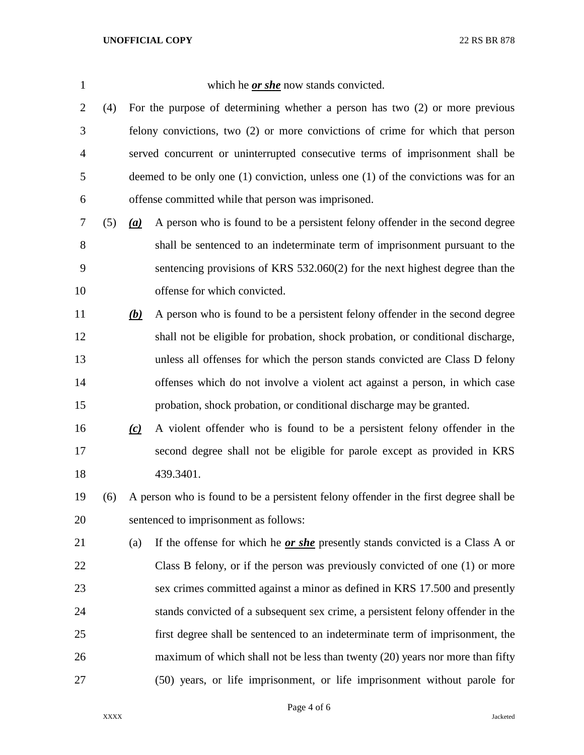which he *or she* now stands convicted.

 (4) For the purpose of determining whether a person has two (2) or more previous felony convictions, two (2) or more convictions of crime for which that person served concurrent or uninterrupted consecutive terms of imprisonment shall be deemed to be only one (1) conviction, unless one (1) of the convictions was for an offense committed while that person was imprisoned.

 (5) *(a)* A person who is found to be a persistent felony offender in the second degree shall be sentenced to an indeterminate term of imprisonment pursuant to the sentencing provisions of KRS 532.060(2) for the next highest degree than the offense for which convicted.

- *(b)* A person who is found to be a persistent felony offender in the second degree shall not be eligible for probation, shock probation, or conditional discharge, unless all offenses for which the person stands convicted are Class D felony offenses which do not involve a violent act against a person, in which case probation, shock probation, or conditional discharge may be granted.
- *(c)* A violent offender who is found to be a persistent felony offender in the second degree shall not be eligible for parole except as provided in KRS 439.3401.
- (6) A person who is found to be a persistent felony offender in the first degree shall be sentenced to imprisonment as follows:
- (a) If the offense for which he *or she* presently stands convicted is a Class A or Class B felony, or if the person was previously convicted of one (1) or more sex crimes committed against a minor as defined in KRS 17.500 and presently stands convicted of a subsequent sex crime, a persistent felony offender in the first degree shall be sentenced to an indeterminate term of imprisonment, the 26 maximum of which shall not be less than twenty (20) years nor more than fifty (50) years, or life imprisonment, or life imprisonment without parole for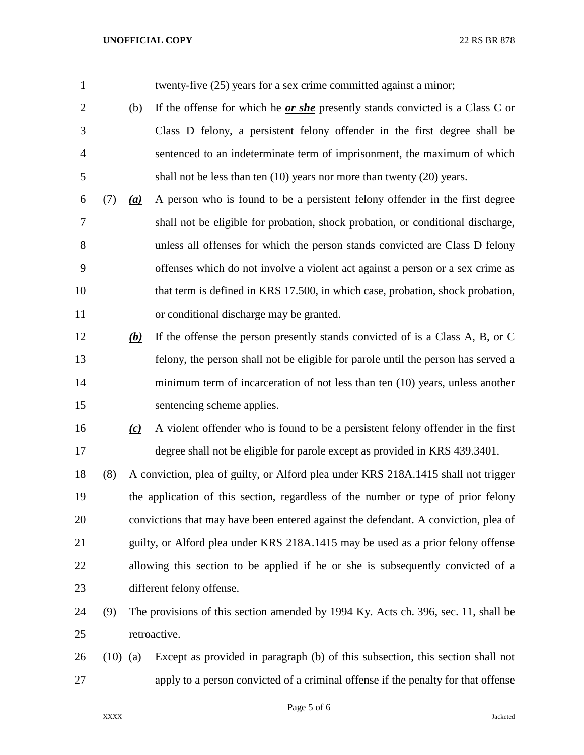## **UNOFFICIAL COPY** 22 RS BR 878

| $\mathbf{1}$   |            |     | twenty-five (25) years for a sex crime committed against a minor;                   |
|----------------|------------|-----|-------------------------------------------------------------------------------------|
| $\overline{2}$ |            | (b) | If the offense for which he $or$ she presently stands convicted is a Class C or     |
| 3              |            |     | Class D felony, a persistent felony offender in the first degree shall be           |
| $\overline{4}$ |            |     | sentenced to an indeterminate term of imprisonment, the maximum of which            |
| 5              |            |     | shall not be less than ten $(10)$ years nor more than twenty $(20)$ years.          |
| 6              | (7)        | (a) | A person who is found to be a persistent felony offender in the first degree        |
| 7              |            |     | shall not be eligible for probation, shock probation, or conditional discharge,     |
| 8              |            |     | unless all offenses for which the person stands convicted are Class D felony        |
| 9              |            |     | offenses which do not involve a violent act against a person or a sex crime as      |
| 10             |            |     | that term is defined in KRS 17.500, in which case, probation, shock probation,      |
| 11             |            |     | or conditional discharge may be granted.                                            |
| 12             |            | (b) | If the offense the person presently stands convicted of is a Class A, B, or C       |
| 13             |            |     | felony, the person shall not be eligible for parole until the person has served a   |
| 14             |            |     | minimum term of incarceration of not less than ten (10) years, unless another       |
| 15             |            |     | sentencing scheme applies.                                                          |
| 16             |            | (c) | A violent offender who is found to be a persistent felony offender in the first     |
| 17             |            |     | degree shall not be eligible for parole except as provided in KRS 439.3401.         |
| 18             | (8)        |     | A conviction, plea of guilty, or Alford plea under KRS 218A.1415 shall not trigger  |
| 19             |            |     | the application of this section, regardless of the number or type of prior felony   |
| 20             |            |     | convictions that may have been entered against the defendant. A conviction, plea of |
| 21             |            |     | guilty, or Alford plea under KRS 218A.1415 may be used as a prior felony offense    |
| 22             |            |     | allowing this section to be applied if he or she is subsequently convicted of a     |
| 23             |            |     | different felony offense.                                                           |
| 24             | (9)        |     | The provisions of this section amended by 1994 Ky. Acts ch. 396, sec. 11, shall be  |
| 25             |            |     | retroactive.                                                                        |
| 26             | $(10)$ (a) |     | Except as provided in paragraph (b) of this subsection, this section shall not      |
| 27             |            |     | apply to a person convicted of a criminal offense if the penalty for that offense   |

Page 5 of 6